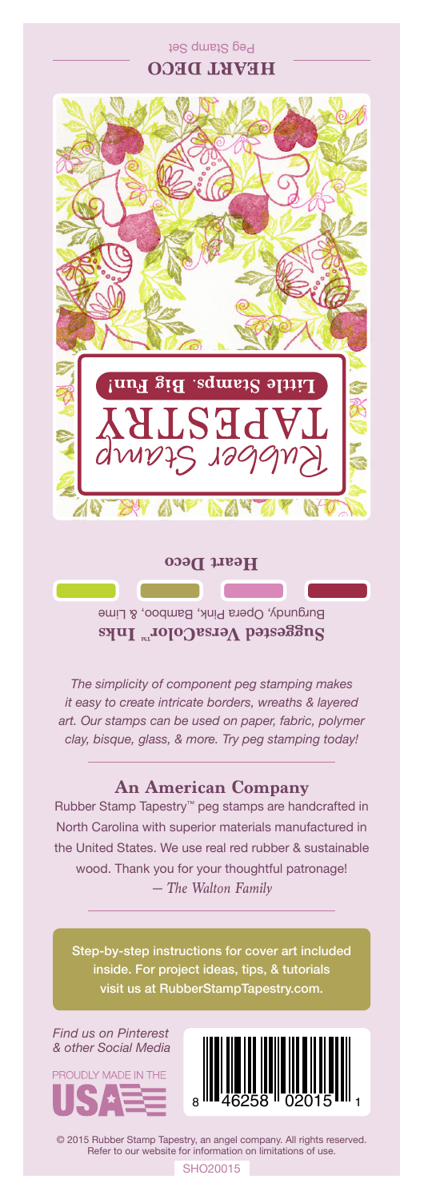Peg Stamp Set **HEART DECO**



**Heart Deco**

Burgundy, Opera Pink, Bamboo, & Lime Suggested VersaColor<sup>m</sup> Inks

*The simplicity of component peg stamping makes it easy to create intricate borders, wreaths & layered art. Our stamps can be used on paper, fabric, polymer clay, bisque, glass, & more. Try peg stamping today!*

## **An American Company**

*— The Walton Family* Rubber Stamp Tapestry™ peg stamps are handcrafted in North Carolina with superior materials manufactured in the United States. We use real red rubber & sustainable wood. Thank you for your thoughtful patronage!

Step-by-step instructions for cover art included inside. For project ideas, tips, & tutorials visit us at RubberStampTapestry.com.

*Find us on Pinterest & other Social Media*





© 2015 Rubber Stamp Tapestry, an angel company. All rights reserved. Refer to our website for information on limitations of use.